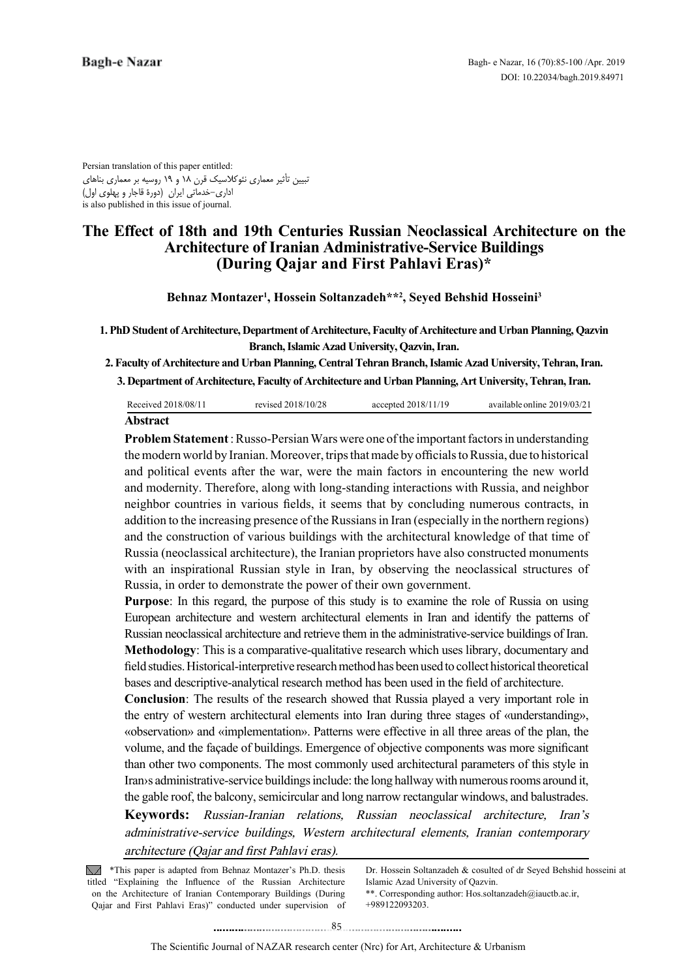Persian translation of this paper entitled: تبیین تأثیر معماری نئوکالسیک قرن 18 و 19 روسیه بر معماری بناهای اداری-خدماتی ایران (دورۀ قاجار و پهلوی اول) is also published in this issue of journal.

# **The Effect of 18th and 19th Centuries Russian Neoclassical Architecture on the Architecture of Iranian Administrative-Service Buildings (During Qajar and First Pahlavi Eras)\***

Behnaz Montazer<sup>1</sup>, Hossein Soltanzadeh\*\*<sup>2</sup>, Seyed Behshid Hosseini<sup>3</sup>

**1. PhD Student of Architecture, Department of Architecture, Faculty of Architecture and Urban Planning, Qazvin Branch, Islamic Azad University, Qazvin, Iran.** 

2. Faculty of Architecture and Urban Planning, Central Tehran Branch, Islamic Azad University, Tehran, Iran.

**3. Department of Architecture, Faculty of Architecture and Urban Planning, Art University, Tehran, Iran.** 

| Received 2018/08/11 | revised 2018/10/28 | accepted 2018/11/19 | available online 2019/03/21 |
|---------------------|--------------------|---------------------|-----------------------------|
| A hetroot           |                    |                     |                             |

#### **Abstract**

**Problem Statement**: Russo-Persian Wars were one of the important factors in understanding the modern world by Iranian. Moreover, trips that made by officials to Russia, due to historical and political events after the war, were the main factors in encountering the new world and modernity. Therefore, along with long-standing interactions with Russia, and neighbor neighbor countries in various fields, it seems that by concluding numerous contracts, in addition to the increasing presence of the Russians in Iran (especially in the northern regions) and the construction of various buildings with the architectural knowledge of that time of Russia (neoclassical architecture), the Iranian proprietors have also constructed monuments with an inspirational Russian style in Iran, by observing the neoclassical structures of Russia, in order to demonstrate the power of their own government.

Purpose: In this regard, the purpose of this study is to examine the role of Russia on using European architecture and western architectural elements in Iran and identify the patterns of Russian neoclassical architecture and retrieve them in the administrative-service buildings of Iran. **Methodology**: This is a comparative-qualitative research which uses library, documentary and field studies. Historical-interpretive research method has been used to collect historical theoretical bases and descriptive-analytical research method has been used in the field of architecture.

**Conclusion**: The results of the research showed that Russia played a very important role in the entry of western architectural elements into Iran during three stages of «understanding», «observation» and «implementation». Patterns were effective in all three areas of the plan, the volume, and the façade of buildings. Emergence of objective components was more significant than other two components. The most commonly used architectural parameters of this style in Iran is administrative-service buildings include: the long hallway with numerous rooms around it, the gable roof, the balcony, semicircular and long narrow rectangular windows, and balustrades.

Keywords: Russian-Iranian relations, Russian neoclassical architecture, Iran's administrative-service buildings, Western architectural elements, Iranian contemporary architecture (Qajar and first Pahlavi eras).

 $\sqrt{\phantom{a}}$  \*This paper is adapted from Behnaz Montazer's Ph.D. thesis titled "Explaining the Influence of the Russian Architecture on the Architecture of Iranian Contemporary Buildings (During Qajar and First Pahlavi Eras)" conducted under supervision of

Dr. Hossein Soltanzadeh & cosulted of dr Seyed Behshid hosseini at Islamic Azad University of Oazvin.

\*\*. Corresponding author: Hos soltanzadeh@iauctb.ac.ir, +989122093203.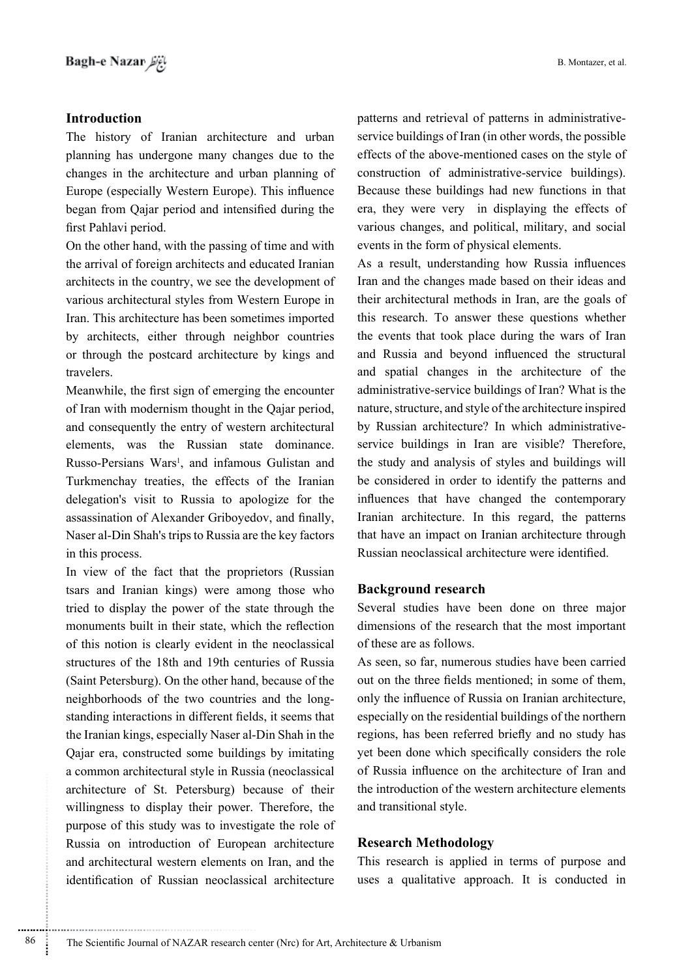## **Introduction**

The history of Iranian architecture and urban planning has undergone many changes due to the changes in the architecture and urban planning of Europe (especially Western Europe). This influence began from Qajar period and intensified during the first Pahlavi period.

On the other hand, with the passing of time and with the arrival of foreign architects and educated Iranian architects in the country, we see the development of various architectural styles from Western Europe in Iran. This architecture has been sometimes imported by architects, either through neighbor countries or through the postcard architecture by kings and travelers.

Meanwhile, the first sign of emerging the encounter of Iran with modernism thought in the Qajar period, and consequently the entry of western architectural elements, was the Russian state dominance. Russo-Persians Wars<sup>1</sup>, and infamous Gulistan and Turkmenchay treaties, the effects of the Iranian delegation's visit to Russia to apologize for the assassination of Alexander Griboyedov, and finally, Naser al-Din Shah's trips to Russia are the key factors in this process.

In view of the fact that the proprietors (Russian tsars and Iranian kings) were among those who tried to display the power of the state through the monuments built in their state, which the reflection of this notion is clearly evident in the neoclassical structures of the 18th and 19th centuries of Russia (Saint Petersburg). On the other hand, because of the standing interactions in different fields, it seems that neighborhoods of the two countries and the longthe Iranian kings, especially Naser al-Din Shah in the Qajar era, constructed some buildings by imitating a common architectural style in Russia (neoclassical architecture of St. Petersburg) because of their willingness to display their power. Therefore, the purpose of this study was to investigate the role of Russia on introduction of European architecture and architectural western elements on Iran, and the identification of Russian neoclassical architecture

service buildings of Iran (in other words, the possiblepatterns and retrieval of patterns in administrativeeffects of the above-mentioned cases on the style of construction of administrative-service buildings). Because these buildings had new functions in that era, they were very in displaying the effects of various changes, and political, military, and social events in the form of physical elements.

As a result, understanding how Russia influences Iran and the changes made based on their ideas and their architectural methods in Iran, are the goals of this research. To answer these questions whether the events that took place during the wars of Iran and Russia and beyond influenced the structural and spatial changes in the architecture of the administrative-service buildings of Iran? What is the nature, structure, and style of the architecture inspired service buildings in Iran are visible? Therefore, by Russian architecture? In which administrativethe study and analysis of styles and buildings will be considered in order to identify the patterns and influences that have changed the contemporary Iranian architecture. In this regard, the patterns that have an impact on Iranian architecture through Russian neoclassical architecture were identified.

### **Background research**

Several studies have been done on three major dimensions of the research that the most important of these are as follows.

As seen, so far, numerous studies have been carried out on the three fields mentioned; in some of them, only the influence of Russia on Iranian architecture, especially on the residential buildings of the northern regions, has been referred briefly and no study has yet been done which specifically considers the role of Russia influence on the architecture of Iran and the introduction of the western architecture elements and transitional style.

### **Methodology Research**

This research is applied in terms of purpose and uses a qualitative approach. It is conducted in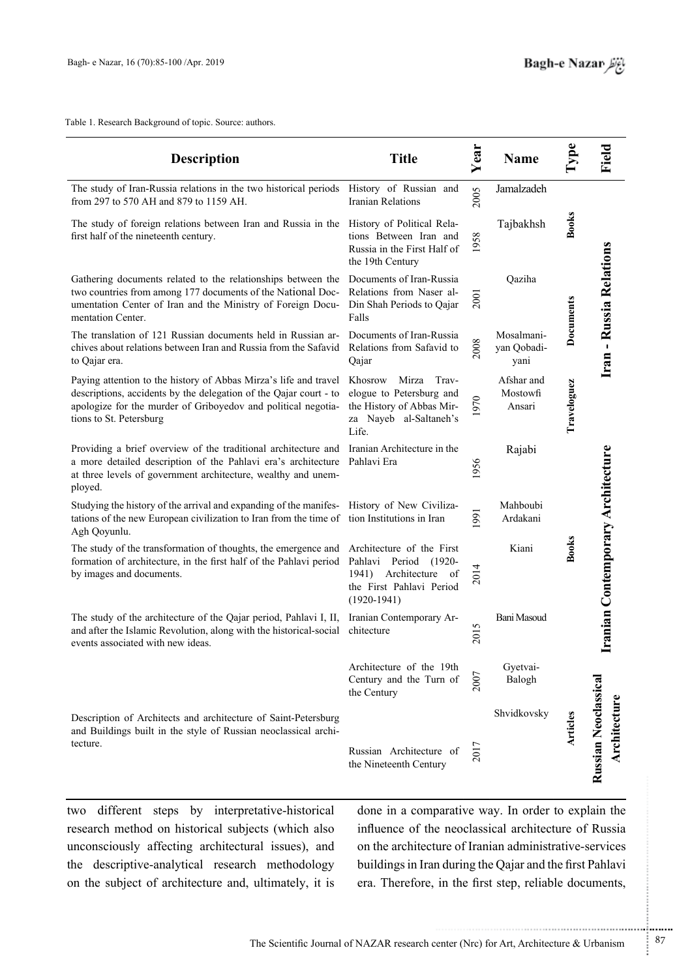Table 1. Research Background of topic. Source: authors.

| <b>Description</b>                                                                                                                                                                                                                      | <b>Title</b>                                                                                                          | Year | <b>Name</b>                       |              | Field                                |
|-----------------------------------------------------------------------------------------------------------------------------------------------------------------------------------------------------------------------------------------|-----------------------------------------------------------------------------------------------------------------------|------|-----------------------------------|--------------|--------------------------------------|
| The study of Iran-Russia relations in the two historical periods<br>from 297 to 570 AH and 879 to 1159 AH.                                                                                                                              | History of Russian and<br><b>Iranian Relations</b>                                                                    | 2005 | Jamalzadeh                        |              |                                      |
| The study of foreign relations between Iran and Russia in the<br>first half of the nineteenth century.                                                                                                                                  | History of Political Rela-<br>tions Between Iran and<br>Russia in the First Half of<br>the 19th Century               | 1958 | Tajbakhsh                         | <b>Books</b> |                                      |
| Gathering documents related to the relationships between the<br>two countries from among 177 documents of the National Doc-<br>umentation Center of Iran and the Ministry of Foreign Docu-<br>mentation Center.                         | Documents of Iran-Russia<br>Relations from Naser al-<br>Din Shah Periods to Qajar<br>Falls                            | 2001 | Qaziha                            | Documents    | Iran - Russia Relations              |
| The translation of 121 Russian documents held in Russian ar-<br>chives about relations between Iran and Russia from the Safavid<br>to Qajar era.                                                                                        | Documents of Iran-Russia<br>Relations from Safavid to<br>Qajar                                                        | 2008 | Mosalmani-<br>yan Qobadi-<br>yani |              |                                      |
| Paying attention to the history of Abbas Mirza's life and travel<br>descriptions, accidents by the delegation of the Qajar court - to<br>apologize for the murder of Griboyedov and political negotia-<br>tions to St. Petersburg       | Khosrow<br>Mirza<br>Trav-<br>elogue to Petersburg and<br>the History of Abbas Mir-<br>za Nayeb al-Saltaneh's<br>Life. | 1970 | Afshar and<br>Mostowfi<br>Ansari  | Traveloguez  |                                      |
| Providing a brief overview of the traditional architecture and Iranian Architecture in the<br>a more detailed description of the Pahlavi era's architecture<br>at three levels of government architecture, wealthy and unem-<br>ployed. | Pahlavi Era                                                                                                           | 1956 | Rajabi                            |              |                                      |
| Studying the history of the arrival and expanding of the manifes- History of New Civiliza-<br>tations of the new European civilization to Iran from the time of tion Institutions in Iran<br>Agh Qoyunlu.                               |                                                                                                                       | 1991 | Mahboubi<br>Ardakani              |              |                                      |
| The study of the transformation of thoughts, the emergence and Architecture of the First<br>formation of architecture, in the first half of the Pahlavi period<br>by images and documents.                                              | Pahlavi Period<br>$(1920 -$<br>1941) Architecture<br>- of<br>the First Pahlavi Period<br>$(1920-1941)$                | 2014 | Kiani                             | <b>Books</b> | Iranian Contemporary Architecture    |
| The study of the architecture of the Qajar period, Pahlavi I, II,<br>and after the Islamic Revolution, along with the historical-social chitecture<br>events associated with new ideas.                                                 | Iranian Contemporary Ar-                                                                                              | 2015 | Bani Masoud                       |              |                                      |
|                                                                                                                                                                                                                                         | Architecture of the 19th<br>Century and the Turn of<br>the Century                                                    | 2007 | Gyetvai-<br>Balogh                |              |                                      |
| Description of Architects and architecture of Saint-Petersburg<br>and Buildings built in the style of Russian neoclassical archi-<br>tecture.                                                                                           | Russian Architecture of<br>the Nineteenth Century                                                                     | 2017 | Shvidkovsky                       | Articles     | Russian Neoclassical<br>Architecture |

two different steps by interpretative-historical research method on historical subjects (which also unconsciously affecting architectural issues), and the descriptive-analytical research methodology on the subject of architecture and, ultimately, it is

done in a comparative way. In order to explain the influence of the neoclassical architecture of Russia on the architecture of Iranian administrative-services buildings in Iran during the Qajar and the first Pahlavi era. Therefore, in the first step, reliable documents,

Î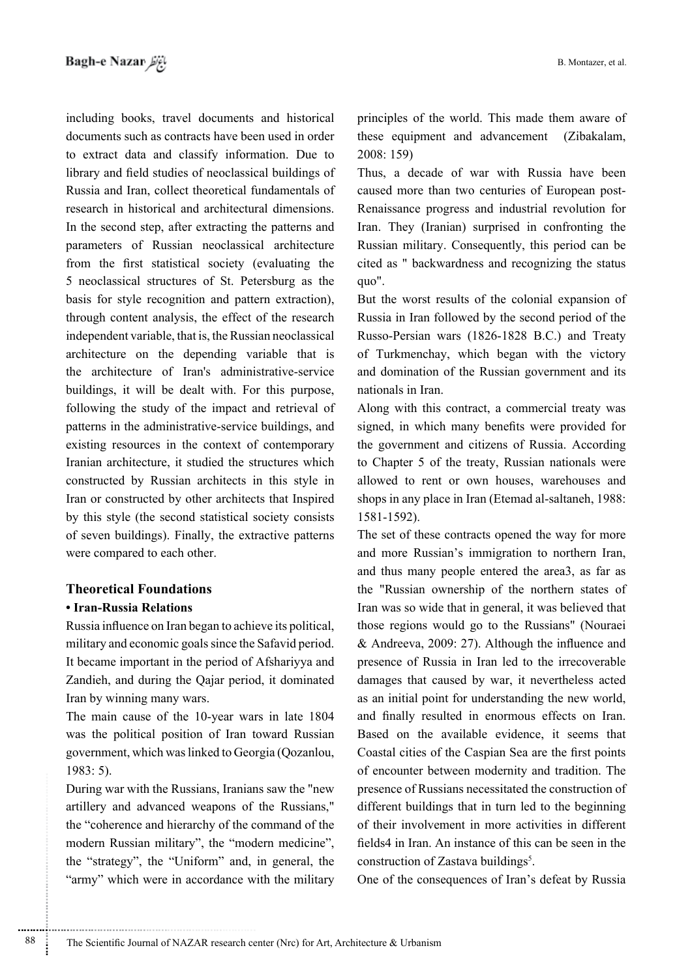including books, travel documents and historical documents such as contracts have been used in order to extract data and classify information. Due to library and field studies of neoclassical buildings of Russia and Iran, collect theoretical fundamentals of research in historical and architectural dimensions. In the second step, after extracting the patterns and parameters of Russian neoclassical architecture from the first statistical society (evaluating the 5 neoclassical structures of St. Petersburg as the basis for style recognition and pattern extraction), through content analysis, the effect of the research independent variable, that is, the Russian neoclassical architecture on the depending variable that is the architecture of Iran's administrative-service buildings, it will be dealt with. For this purpose, following the study of the impact and retrieval of patterns in the administrative-service buildings, and existing resources in the context of contemporary Iranian architecture, it studied the structures which constructed by Russian architects in this style in Iran or constructed by other architects that Inspired by this style (the second statistical society consists of seven buildings). Finally, the extractive patterns were compared to each other.

### **Theoretical Foundations • Iran-Russia Relations**

Russia influence on Iran began to achieve its political, military and economic goals since the Safavid period. It became important in the period of Afshariyya and Zandieh, and during the Qajar period, it dominated Iran by winning many wars.

The main cause of the 10-year wars in late 1804 was the political position of Iran toward Russian government, which was linked to Georgia (Qozanlou,  $1983:5$ .

During war with the Russians, Iranians saw the "new" artillery and advanced weapons of the Russians," the "coherence and hierarchy of the command of the modern Russian military", the "modern medicine", the "strategy", the "Uniform" and, in general, the "army" which were in accordance with the military

principles of the world. This made them aware of these equipment and advancement (Zibakalam, 2008: 159)

Thus, a decade of war with Russia have been Renaissance progress and industrial revolution for caused more than two centuries of European post-Iran. They (Iranian) surprised in confronting the Russian military. Consequently, this period can be cited as " backwardness and recognizing the status quo".

But the worst results of the colonial expansion of Russia in Iran followed by the second period of the Russo-Persian wars (1826-1828 B.C.) and Treaty of Turkmenchay, which began with the victory and domination of the Russian government and its nationals in Iran.

Along with this contract, a commercial treaty was signed, in which many benefits were provided for the government and citizens of Russia. According to Chapter 5 of the treaty, Russian nationals were allowed to rent or own houses, warehouses and shops in any place in Iran (Etemad al-saltaneh, 1988:  $1581 - 1592$ 

The set of these contracts opened the way for more and more Russian's immigration to northern Iran, and thus many people entered the area 3, as far as the "Russian ownership of the northern states of Iran was so wide that in general, it was believed that those regions would go to the Russians" (Nouraei & Andreeva, 2009: 27). Although the influence and presence of Russia in Iran led to the irrecoverable damages that caused by war, it nevertheless acted as an initial point for understanding the new world, and finally resulted in enormous effects on Iran. Based on the available evidence, it seems that Coastal cities of the Caspian Sea are the first points of encounter between modernity and tradition. The presence of Russians necessitated the construction of different buildings that in turn led to the beginning of their involvement in more activities in different fields4 in Iran. An instance of this can be seen in the construction of Zastava buildings<sup>5</sup>.

One of the consequences of Iran's defeat by Russia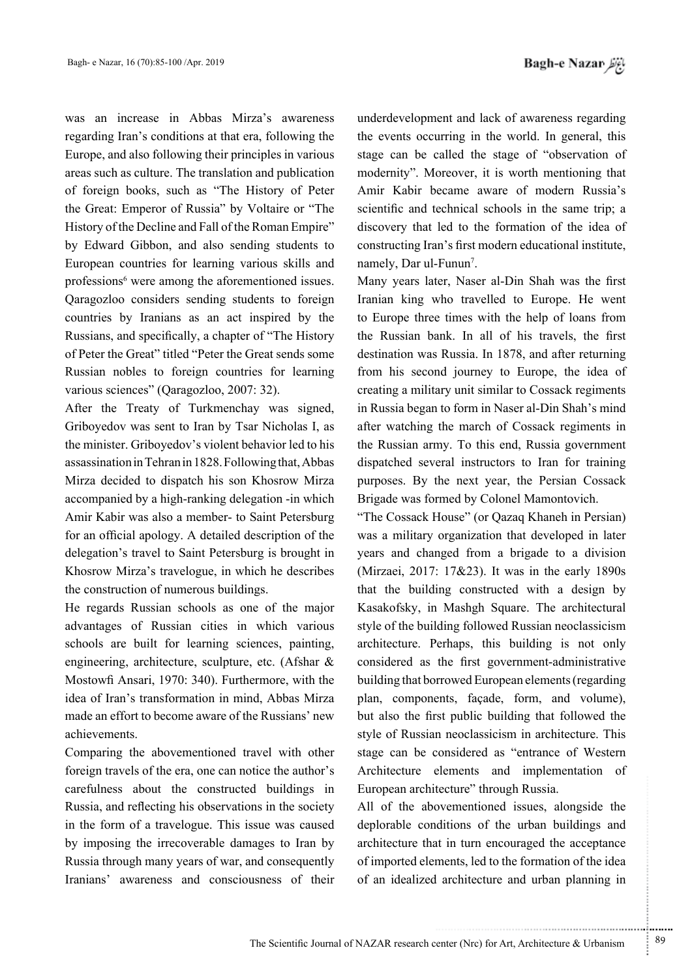was an increase in Abbas Mirza's awareness regarding Iran's conditions at that era, following the Europe, and also following their principles in various areas such as culture. The translation and publication of foreign books, such as "The History of Peter the Great: Emperor of Russia" by Voltaire or "The History of the Decline and Fall of the Roman Empire" by Edward Gibbon, and also sending students to European countries for learning various skills and professions<sup>6</sup> were among the aforementioned issues. Qaragozloo considers sending students to foreign countries by Iranians as an act inspired by the Russians, and specifically, a chapter of "The History" of Peter the Great" titled "Peter the Great sends some Russian nobles to foreign countries for learning various sciences" (Qaragozloo, 2007: 32).

After the Treaty of Turkmenchay was signed, Griboyedov was sent to Iran by Tsar Nicholas I, as the minister. Griboyedov's violent behavior led to his assassination in Tehran in 1828. Following that, Abbas Mirza decided to dispatch his son Khosrow Mirza accompanied by a high-ranking delegation -in which Amir Kabir was also a member- to Saint Petersburg for an official apology. A detailed description of the delegation's travel to Saint Petersburg is brought in Khosrow Mirza's travelogue, in which he describes the construction of numerous buildings.

He regards Russian schools as one of the major advantages of Russian cities in which various schools are built for learning sciences, painting, engineering, architecture, sculpture, etc. (Afshar  $\&$ Mostowfi Ansari, 1970: 340). Furthermore, with the idea of Iran's transformation in mind. Abbas Mirza made an effort to become aware of the Russians' new .achievements

Comparing the abovementioned travel with other foreign travels of the era, one can notice the author's carefulness about the constructed buildings in Russia, and reflecting his observations in the society in the form of a travelogue. This issue was caused by imposing the irrecoverable damages to Iran by Russia through many years of war, and consequently Iranians' awareness and consciousness of their underdevelopment and lack of awareness regarding the events occurring in the world. In general, this stage can be called the stage of "observation of modernity". Moreover, it is worth mentioning that Amir Kabir became aware of modern Russia's scientific and technical schools in the same trip; a discovery that led to the formation of the idea of constructing Iran's first modern educational institute, namely, Dar ul-Funun<sup>7</sup>.

Many years later, Naser al-Din Shah was the first Iranian king who travelled to Europe. He went to Europe three times with the help of loans from the Russian bank. In all of his travels, the first destination was Russia. In 1878, and after returning from his second journey to Europe, the idea of creating a military unit similar to Cossack regiments in Russia began to form in Naser al-Din Shah's mind after watching the march of Cossack regiments in the Russian army. To this end, Russia government dispatched several instructors to Iran for training purposes. By the next year, the Persian Cossack Brigade was formed by Colonel Mamontovich.

"The Cossack House" (or Qazaq Khaneh in Persian) was a military organization that developed in later years and changed from a brigade to a division (Mirzaei, 2017:  $17&23$ ). It was in the early  $1890s$ that the building constructed with a design by Kasakofsky, in Mashgh Square. The architectural style of the building followed Russian neoclassicism architecture. Perhaps, this building is not only considered as the first government-administrative building that borrowed European elements (regarding plan, components, façade, form, and volume), but also the first public building that followed the style of Russian neoclassicism in architecture. This stage can be considered as "entrance of Western" Architecture elements and implementation of European architecture" through Russia.

All of the abovementioned issues, alongside the deplorable conditions of the urban buildings and architecture that in turn encouraged the acceptance of imported elements, led to the formation of the idea of an idealized architecture and urban planning in

.......... ....... ........ ........... ...... ....... ........ .......... ...........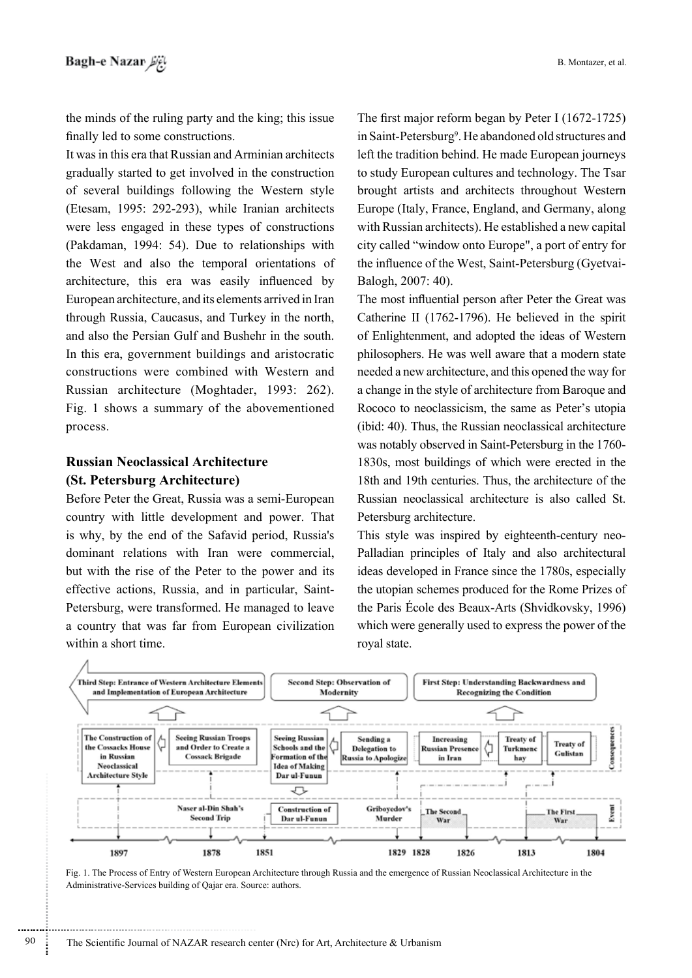the minds of the ruling party and the king; this issue finally led to some constructions.

It was in this era that Russian and Arminian architects gradually started to get involved in the construction of several buildings following the Western style (Etesam, 1995: 292-293), while Iranian architects were less engaged in these types of constructions (Pakdaman, 1994: 54). Due to relationships with the West and also the temporal orientations of architecture, this era was easily influenced by European architecture, and its elements arrived in Iran through Russia, Caucasus, and Turkey in the north, and also the Persian Gulf and Bushehr in the south. In this era, government buildings and aristocratic constructions were combined with Western and Russian architecture (Moghtader, 1993: 262). Fig. 1 shows a summary of the abovementioned process.

## **Russian Neoclassical Architecture** (St. Petersburg Architecture)

Before Peter the Great, Russia was a semi-European country with little development and power. That is why, by the end of the Safavid period, Russia's dominant relations with Iran were commercial, but with the rise of the Peter to the power and its effective actions, Russia, and in particular, Saint-Petersburg, were transformed. He managed to leave a country that was far from European civilization within a short time.

The first major reform began by Peter I (1672-1725) in Saint-Petersburg<sup>9</sup>. He abandoned old structures and left the tradition behind. He made European journeys to study European cultures and technology. The Tsar brought artists and architects throughout Western Europe (Italy, France, England, and Germany, along with Russian architects). He established a new capital city called "window onto Europe", a port of entry for the influence of the West, Saint-Petersburg (Gyetvai-Balogh, 2007: 40).

The most influential person after Peter the Great was Catherine II (1762-1796). He believed in the spirit of Enlightenment, and adopted the ideas of Western philosophers. He was well aware that a modern state needed a new architecture, and this opened the way for a change in the style of architecture from Baroque and Rococo to neoclassicism, the same as Peter's utopia (ibid: 40). Thus, the Russian neoclassical architecture was notably observed in Saint-Petersburg in the 1760-1830s, most buildings of which were erected in the 18th and 19th centuries. Thus, the architecture of the Russian neoclassical architecture is also called St. Petersburg architecture.

This style was inspired by eighteenth-century neo-Palladian principles of Italy and also architectural ideas developed in France since the 1780s, especially the utopian schemes produced for the Rome Prizes of the Paris École des Beaux-Arts (Shvidkovsky, 1996) which were generally used to express the power of the roval state.



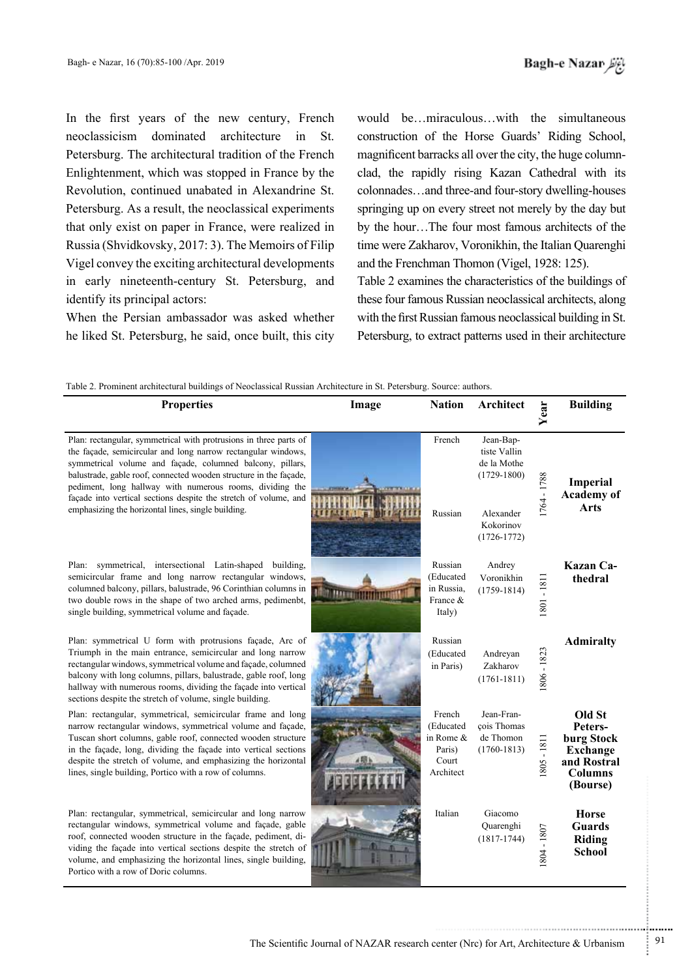In the first years of the new century, French neoclassicism dominated architecture in St Petersburg. The architectural tradition of the French Enlightenment, which was stopped in France by the Revolution, continued unabated in Alexandrine St. Petersburg. As a result, the neoclassical experiments that only exist on paper in France, were realized in Russia (Shvidkovsky, 2017: 3). The Memoirs of Filip Vigel convey the exciting architectural developments in early nineteenth-century St. Petersburg, and identify its principal actors:

When the Persian ambassador was asked whether he liked St. Petersburg, he said, once built, this city would be...miraculous...with the simultaneous construction of the Horse Guards' Riding School, clad, the rapidly rising Kazan Cathedral with its magnificent barracks all over the city, the huge columncolonnades...and three-and four-story dwelling-houses springing up on every street not merely by the day but by the hour...The four most famous architects of the time were Zakharov, Voronikhin, the Italian Quarenghi and the Frenchman Thomon (Vigel, 1928: 125).

Table 2 examines the characteristics of the buildings of these four famous Russian neoclassical architects, along with the first Russian famous neoclassical building in St. Petersburg, to extract patterns used in their architecture

| <b>Properties</b>                                                                                                                                                                                                                                                                                                                                                                                                                                          | Image                           | <b>Nation</b>                                                    | <b>Architect</b>                                                                                         | Year        | <b>Building</b>                                                                                 |
|------------------------------------------------------------------------------------------------------------------------------------------------------------------------------------------------------------------------------------------------------------------------------------------------------------------------------------------------------------------------------------------------------------------------------------------------------------|---------------------------------|------------------------------------------------------------------|----------------------------------------------------------------------------------------------------------|-------------|-------------------------------------------------------------------------------------------------|
| Plan: rectangular, symmetrical with protrusions in three parts of<br>the façade, semicircular and long narrow rectangular windows,<br>symmetrical volume and façade, columned balcony, pillars,<br>balustrade, gable roof, connected wooden structure in the façade,<br>pediment, long hallway with numerous rooms, dividing the<br>façade into vertical sections despite the stretch of volume, and<br>emphasizing the horizontal lines, single building. |                                 | French<br>Russian                                                | Jean-Bap-<br>tiste Vallin<br>de la Mothe<br>$(1729 - 1800)$<br>Alexander<br>Kokorinov<br>$(1726 - 1772)$ | 1764 - 1788 | <b>Imperial</b><br><b>Academy</b> of<br><b>Arts</b>                                             |
| Plan: symmetrical, intersectional Latin-shaped building,<br>semicircular frame and long narrow rectangular windows,<br>columned balcony, pillars, balustrade, 96 Corinthian columns in<br>two double rows in the shape of two arched arms, pedimenbt,<br>single building, symmetrical volume and façade.                                                                                                                                                   | <b><i><u>LABURINTEE</u></i></b> | Russian<br>(Educated<br>in Russia,<br>France &<br>Italy)         | Andrey<br>Voronikhin<br>$(1759-1814)$                                                                    | 1801 - 1811 | Kazan Ca-<br>thedral                                                                            |
| Plan: symmetrical U form with protrusions façade, Arc of<br>Triumph in the main entrance, semicircular and long narrow<br>rectangular windows, symmetrical volume and façade, columned<br>balcony with long columns, pillars, balustrade, gable roof, long<br>hallway with numerous rooms, dividing the façade into vertical<br>sections despite the stretch of volume, single building.                                                                   |                                 | Russian<br>(Educated<br>in Paris)                                | Andreyan<br>Zakharov<br>$(1761 - 1811)$                                                                  | 1806 - 1823 | <b>Admiralty</b>                                                                                |
| Plan: rectangular, symmetrical, semicircular frame and long<br>narrow rectangular windows, symmetrical volume and façade,<br>Tuscan short columns, gable roof, connected wooden structure<br>in the façade, long, dividing the façade into vertical sections<br>despite the stretch of volume, and emphasizing the horizontal<br>lines, single building, Portico with a row of columns.                                                                    |                                 | French<br>(Educated<br>in Rome &<br>Paris)<br>Court<br>Architect | Jean-Fran-<br>çois Thomas<br>de Thomon<br>$(1760 - 1813)$                                                | 805-1811    | Old St<br>Peters-<br>burg Stock<br><b>Exchange</b><br>and Rostral<br><b>Columns</b><br>(Bourse) |
| Plan: rectangular, symmetrical, semicircular and long narrow<br>rectangular windows, symmetrical volume and façade, gable<br>roof, connected wooden structure in the façade, pediment, di-<br>viding the façade into vertical sections despite the stretch of<br>volume, and emphasizing the horizontal lines, single building,<br>Portico with a row of Doric columns.                                                                                    |                                 | Italian                                                          | Giacomo<br>Quarenghi<br>$(1817-1744)$                                                                    | 1804 - 1807 | <b>Horse</b><br><b>Guards</b><br>Riding<br><b>School</b>                                        |

...........................................................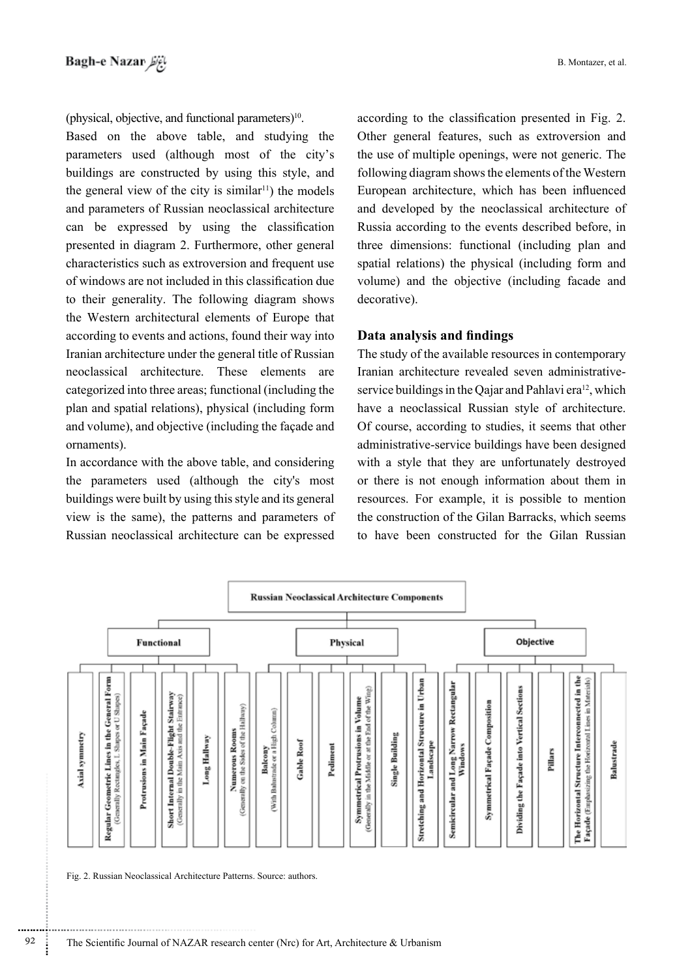(physical, objective, and functional parameters) $10$ .

Based on the above table, and studying the parameters used (although most of the city's buildings are constructed by using this style, and the general view of the city is similar<sup> $11$ </sup>) the models and parameters of Russian neoclassical architecture can be expressed by using the classification presented in diagram 2. Furthermore, other general characteristics such as extroversion and frequent use of windows are not included in this classification due to their generality. The following diagram shows the Western architectural elements of Europe that according to events and actions, found their way into Iranian architecture under the general title of Russian neoclassical architecture. These elements are categorized into three areas; functional (including the plan and spatial relations), physical (including form and volume), and objective (including the façade and ornaments).

In accordance with the above table, and considering the parameters used (although the city's most buildings were built by using this style and its general view is the same), the patterns and parameters of Russian neoclassical architecture can be expressed according to the classification presented in Fig. 2. Other general features, such as extroversion and the use of multiple openings, were not generic. The following diagram shows the elements of the Western European architecture, which has been influenced and developed by the neoclassical architecture of Russia according to the events described before, in three dimensions: functional (including plan and spatial relations) the physical (including form and volume) and the objective (including facade and decorative).

### **Data analysis and findings**

The study of the available resources in contemporary service buildings in the Oajar and Pahlavi era<sup>12</sup>, which Iranian architecture revealed seven administrativehave a neoclassical Russian style of architecture. Of course, according to studies, it seems that other administrative-service buildings have been designed with a style that they are unfortunately destroyed or there is not enough information about them in resources. For example, it is possible to mention the construction of the Gilan Barracks, which seems to have been constructed for the Gilan Russian



Fig. 2. Russian Neoclassical Architecture Patterns. Source: authors.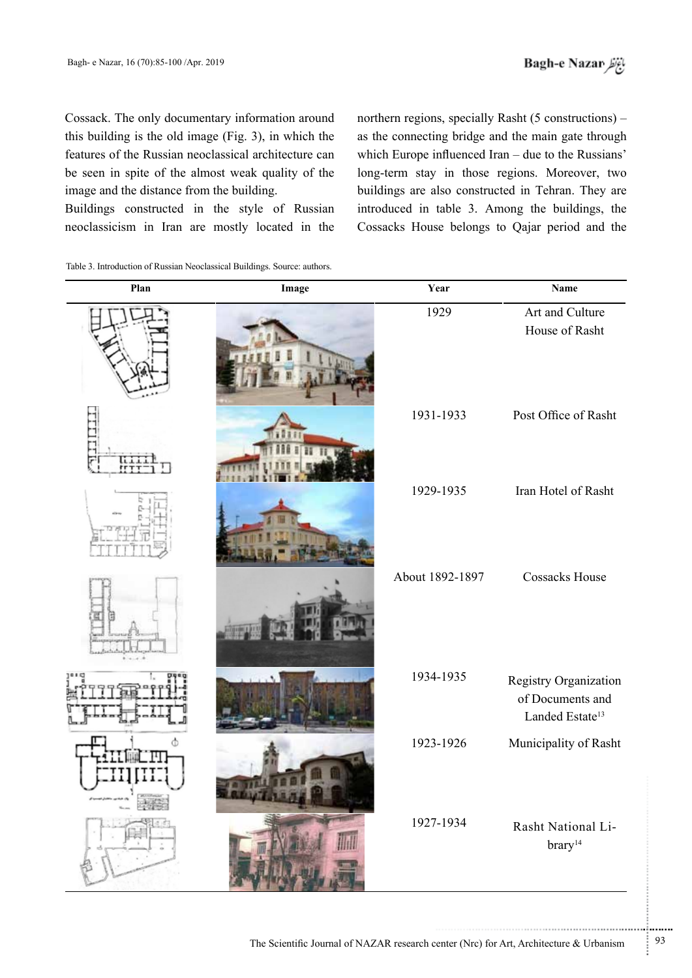Cossack. The only documentary information around this building is the old image (Fig. 3), in which the features of the Russian neoclassical architecture can be seen in spite of the almost weak quality of the image and the distance from the building.

Buildings constructed in the style of Russian neoclassicism in Iran are mostly located in the northern regions, specially Rasht  $(5$  constructions $)$  as the connecting bridge and the main gate through which Europe influenced Iran – due to the Russians' long-term stay in those regions. Moreover, two buildings are also constructed in Tehran. They are introduced in table 3. Among the buildings, the Cossacks House belongs to Qajar period and the

Table 3. Introduction of Russian Neoclassical Buildings. Source: authors.

| Plan | Image | Year            | Name                                                                     |
|------|-------|-----------------|--------------------------------------------------------------------------|
|      |       | 1929            | Art and Culture<br>House of Rasht                                        |
|      |       | 1931-1933       | Post Office of Rasht                                                     |
|      |       | 1929-1935       | Iran Hotel of Rasht                                                      |
|      |       | About 1892-1897 | <b>Cossacks House</b>                                                    |
|      |       | 1934-1935       | Registry Organization<br>of Documents and<br>Landed Estate <sup>13</sup> |
|      |       | 1923-1926       | Municipality of Rasht                                                    |
| $-$  |       | 1927-1934       | Rasht National Li-<br>brary <sup>14</sup>                                |

...........................................................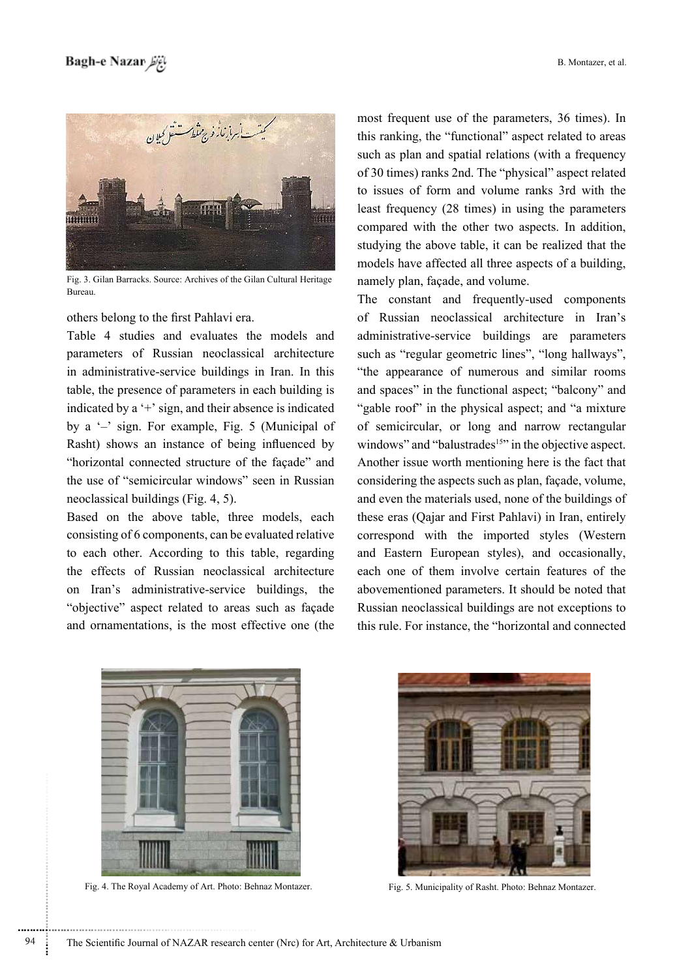

Fig. 3. Gilan Barracks. Source: Archives of the Gilan Cultural Heritage .Bureau

others belong to the first Pahlavi era.

Table 4 studies and evaluates the models and parameters of Russian neoclassical architecture in administrative-service buildings in Iran. In this table, the presence of parameters in each building is indicated by a  $+$  'sign, and their absence is indicated by a  $-$ ' sign. For example, Fig. 5 (Municipal of Rasht) shows an instance of being influenced by " horizontal connected structure of the facade" and the use of "semicircular windows" seen in Russian neoclassical buildings (Fig.  $4, 5$ ).

Based on the above table, three models, each consisting of 6 components, can be evaluated relative to each other. According to this table, regarding the effects of Russian neoclassical architecture on Iran's administrative-service buildings, the "objective" aspect related to areas such as façade and ornamentations, is the most effective one (the most frequent use of the parameters, 36 times). In this ranking, the "functional" aspect related to areas such as plan and spatial relations (with a frequency of 30 times) ranks 2nd. The "physical" aspect related to issues of form and volume ranks 3rd with the least frequency  $(28 \times \text{times})$  in using the parameters compared with the other two aspects. In addition, studying the above table, it can be realized that the models have affected all three aspects of a building. namely plan, façade, and volume.

The constant and frequently-used components of Russian neoclassical architecture in Iran's administrative-service buildings are parameters such as "regular geometric lines", "long hallways", "the appearance of numerous and similar rooms and spaces" in the functional aspect; "balcony" and "gable roof" in the physical aspect; and "a mixture" of semicircular, or long and narrow rectangular windows" and "balustrades<sup>15</sup>" in the objective aspect. Another issue worth mentioning here is the fact that considering the aspects such as plan, façade, volume, and even the materials used, none of the buildings of these eras (Qajar and First Pahlavi) in Iran, entirely correspond with the imported styles (Western and Eastern European styles), and occasionally, each one of them involve certain features of the abovementioned parameters. It should be noted that Russian neoclassical buildings are not exceptions to this rule. For instance, the "horizontal and connected



Fig. 4. The Royal Academy of Art. Photo: Behnaz Montazer. Fig. 5. Municipality of Rasht. Photo: Behnaz Montazer.

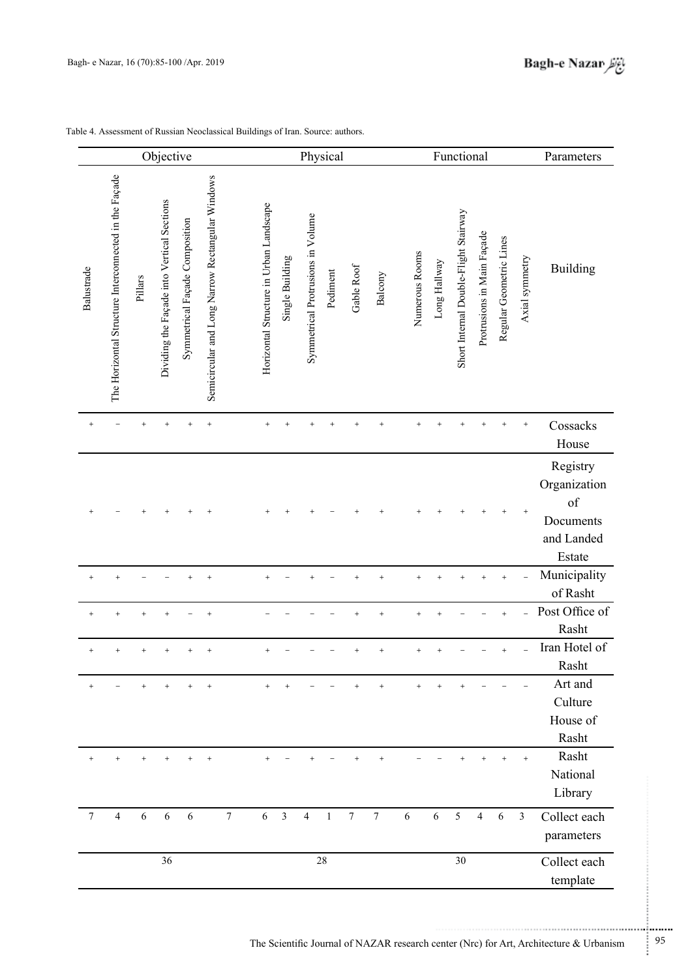|            |                                                       |           | Objective                                  |                                |                                                  |                | Physical                                |                 |                                   |              |                |                |                | Functional |              |                                       |                            |                         |                         | Parameters                                                                                      |
|------------|-------------------------------------------------------|-----------|--------------------------------------------|--------------------------------|--------------------------------------------------|----------------|-----------------------------------------|-----------------|-----------------------------------|--------------|----------------|----------------|----------------|------------|--------------|---------------------------------------|----------------------------|-------------------------|-------------------------|-------------------------------------------------------------------------------------------------|
| Balustrade | The Horizontal Structure Interconnected in the Façade | Pillars   | Dividing the Façade into Vertical Sections | Symmetrical Façade Composition | Semicircular and Long Narrow Rectangular Windows |                | Horizontal Structure in Urban Landscape | Single Building | Symmetrical Protrusions in Volume | Pediment     | Gable Roof     | Balcony        | Numerous Rooms |            | Long Hallway | Short Internal Double-Flight Stairway | Protrusions in Main Façade | Regular Geometric Lines | Axial symmetry          | <b>Building</b>                                                                                 |
|            |                                                       |           |                                            |                                | $\ddot{}$                                        |                |                                         |                 |                                   |              |                |                |                |            |              |                                       |                            |                         |                         | Cossacks<br>House                                                                               |
|            |                                                       |           |                                            |                                |                                                  |                |                                         |                 |                                   |              |                |                |                |            |              |                                       |                            |                         |                         | Registry<br>Organization<br>of<br>Documents<br>and Landed<br>Estate<br>Municipality<br>of Rasht |
|            |                                                       |           |                                            |                                |                                                  |                |                                         |                 |                                   |              |                |                |                |            |              |                                       |                            | $\ddot{}$               |                         | Post Office of<br>Rasht                                                                         |
| $^{+}$     | $^{+}$                                                | $\ddot{}$ |                                            |                                | $\overline{+}$                                   |                | $\ddot{}$                               |                 |                                   |              |                |                |                |            |              |                                       |                            |                         |                         | Iran Hotel of<br>Rasht                                                                          |
| $^{+}$     |                                                       | $^{+}$    | $\ddot{}$                                  | $+$                            | $\ddot{}$                                        |                | $\ddot{}$                               | $\ddot{}$       |                                   |              |                | $+$            |                |            | $\ddot{}$    |                                       |                            |                         |                         | Art and<br>Culture<br>House of<br>Rasht                                                         |
|            |                                                       |           |                                            |                                |                                                  |                |                                         |                 |                                   |              |                |                |                |            |              |                                       |                            | $\ddot{}$               | $+$                     | Rasht<br>National<br>Library                                                                    |
| 7          | 4                                                     | 6         | 6                                          | 6                              |                                                  | $\overline{7}$ | $\sqrt{6}$                              | $\overline{3}$  | $\overline{4}$                    | $\mathbf{1}$ | $\overline{7}$ | $\overline{7}$ | 6              |            | $\sqrt{6}$   | 5                                     | 4                          | 6                       | $\overline{\mathbf{3}}$ | Collect each<br>parameters                                                                      |
|            |                                                       |           | 36                                         |                                |                                                  |                |                                         |                 |                                   | 28           |                |                |                |            |              | 30                                    |                            |                         |                         | Collect each<br>template                                                                        |

Table 4. Assessment of Russian Neoclassical Buildings of Iran. Source: authors.

...........................................................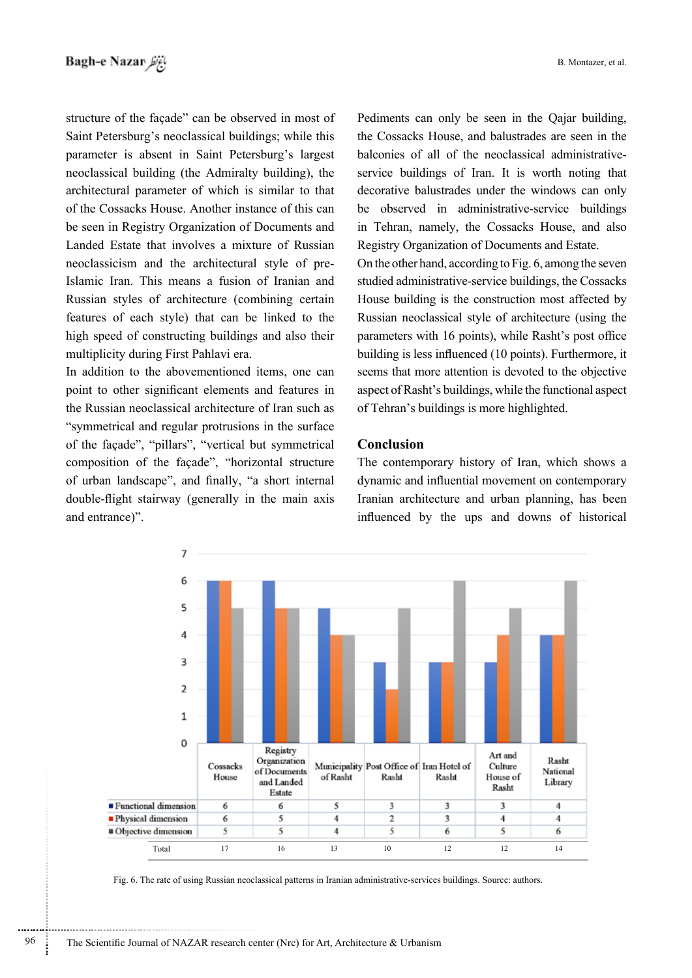structure of the façade" can be observed in most of Saint Petersburg's neoclassical buildings: while this parameter is absent in Saint Petersburg's largest neoclassical building (the Admiralty building), the architectural parameter of which is similar to that of the Cossacks House. Another instance of this can be seen in Registry Organization of Documents and Landed Estate that involves a mixture of Russian Islamic Iran. This means a fusion of Iranian and neoclassicism and the architectural style of pre-Russian styles of architecture (combining certain features of each style) that can be linked to the high speed of constructing buildings and also their multiplicity during First Pahlavi era.

In addition to the abovementioned items, one can point to other significant elements and features in the Russian neoclassical architecture of Iran such as "symmetrical and regular protrusions in the surface" of the façade", "pillars", "vertical but symmetrical composition of the façade", "horizontal structure of urban landscape", and finally, "a short internal double-flight stairway (generally in the main axis and entrance)".

Pediments can only be seen in the Qajar building, the Cossacks House, and balustrades are seen in the service buildings of Iran. It is worth noting that balconies of all of the neoclassical administrativedecorative balustrades under the windows can only be observed in administrative-service buildings in Tehran, namely, the Cossacks House, and also Registry Organization of Documents and Estate.

On the other hand, according to Fig. 6, among the seven studied administrative-service buildings, the Cossacks House building is the construction most affected by Russian neoclassical style of architecture (using the parameters with 16 points), while Rasht's post office building is less influenced (10 points). Furthermore, it seems that more attention is devoted to the objective aspect of Rasht's buildings, while the functional aspect of Tehran's buildings is more highlighted.

### **Conclusion**

The contemporary history of Iran, which shows a dynamic and influential movement on contemporary Iranian architecture and urban planning, has been influenced by the ups and downs of historical



Fig. 6. The rate of using Russian neoclassical patterns in Iranian administrative-services buildings. Source: authors.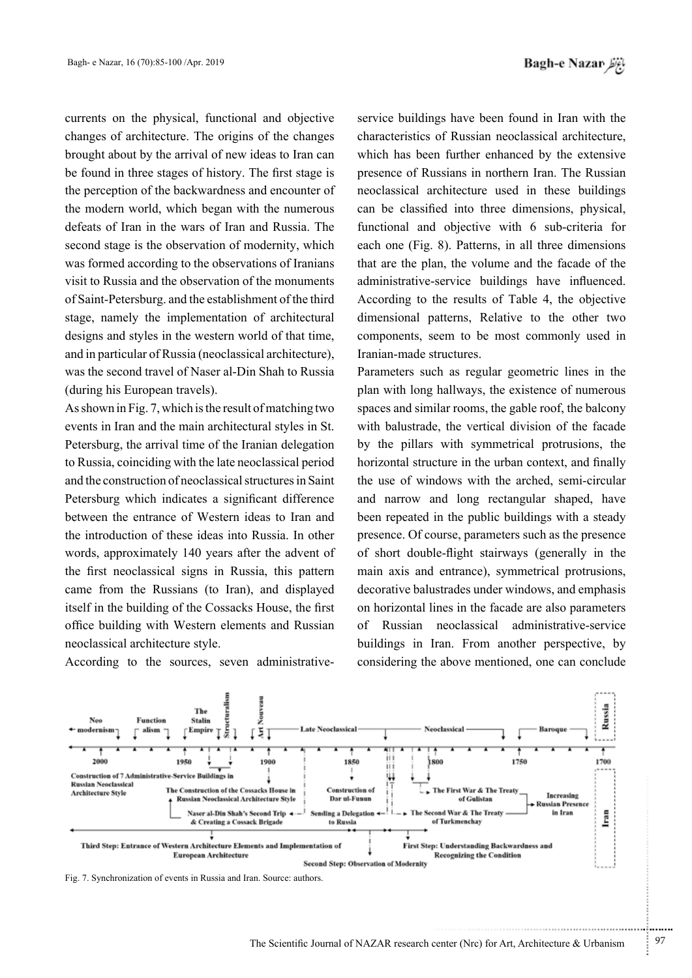currents on the physical, functional and objective changes of architecture. The origins of the changes brought about by the arrival of new ideas to Iran can be found in three stages of history. The first stage is the perception of the backwardness and encounter of the modern world, which began with the numerous defeats of Iran in the wars of Iran and Russia. The second stage is the observation of modernity, which was formed according to the observations of Iranians visit to Russia and the observation of the monuments of Saint-Petersburg. and the establishment of the third stage, namely the implementation of architectural designs and styles in the western world of that time, and in particular of Russia (neoclassical architecture). was the second travel of Naser al-Din Shah to Russia (during his European travels).

As shown in Fig. 7, which is the result of matching two events in Iran and the main architectural styles in St. Petersburg, the arrival time of the Iranian delegation to Russia, coinciding with the late neoclassical period and the construction of neoclassical structures in Saint Petersburg which indicates a significant difference between the entrance of Western ideas to Iran and the introduction of these ideas into Russia. In other words, approximately 140 years after the advent of the first neoclassical signs in Russia, this pattern came from the Russians (to Iran), and displayed itself in the building of the Cossacks House, the first office building with Western elements and Russian neoclassical architecture style.

service buildings have been found in Iran with the characteristics of Russian neoclassical architecture. which has been further enhanced by the extensive presence of Russians in northern Iran. The Russian neoclassical architecture used in these buildings can be classified into three dimensions, physical, functional and objective with 6 sub-criteria for each one (Fig. 8). Patterns, in all three dimensions that are the plan, the volume and the facade of the administrative-service buildings have influenced. According to the results of Table 4, the objective dimensional patterns, Relative to the other two components, seem to be most commonly used in Iranian-made structures.

Parameters such as regular geometric lines in the plan with long hallways, the existence of numerous spaces and similar rooms, the gable roof, the balcony with balustrade, the vertical division of the facade by the pillars with symmetrical protrusions, the horizontal structure in the urban context, and finally the use of windows with the arched, semi-circular and narrow and long rectangular shaped, have been repeated in the public buildings with a steady presence. Of course, parameters such as the presence of short double-flight stairways (generally in the main axis and entrance), symmetrical protrusions, decorative balustrades under windows, and emphasis on horizontal lines in the facade are also parameters of Russian neoclassical administrative-service buildings in Iran. From another perspective, by considering the above mentioned, one can conclude



According to the sources, seven administrative-



...........................................................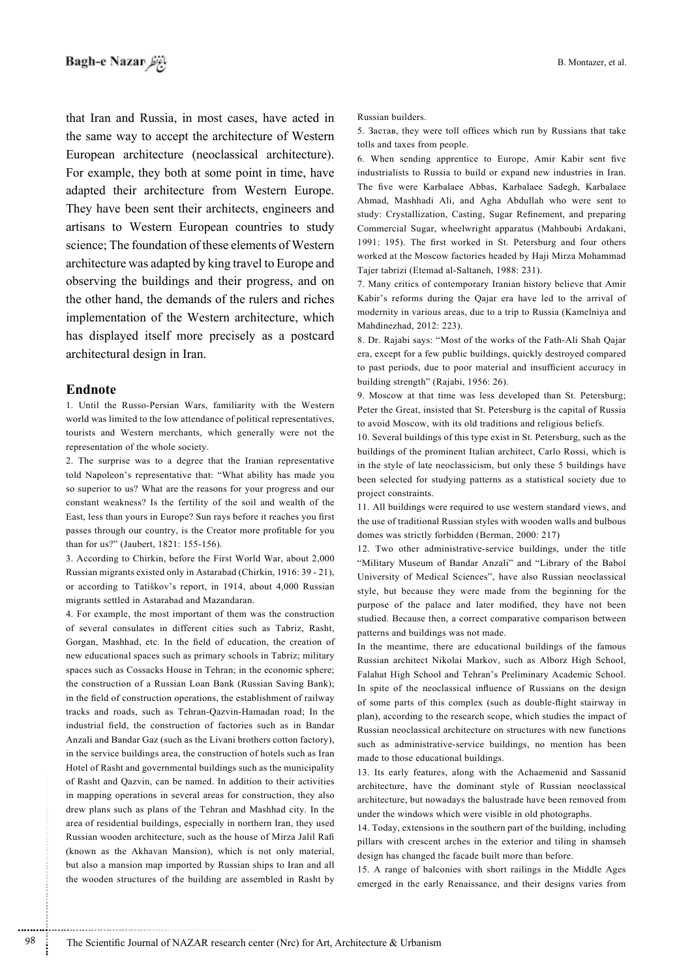that Iran and Russia, in most cases, have acted in the same way to accept the architecture of Western European architecture (neoclassical architecture). For example, they both at some point in time, have adapted their architecture from Western Europe. They have been sent their architects, engineers and artisans to Western European countries to study science; The foundation of these elements of Western architecture was adapted by king travel to Europe and observing the buildings and their progress, and on the other hand, the demands of the rulers and riches implementation of the Western architecture, which has displayed itself more precisely as a postcard architectural design in Iran.

#### **Endnote**

1. Until the Russo-Persian Wars, familiarity with the Western world was limited to the low attendance of political representatives, tourists and Western merchants, which generally were not the representation of the whole society.

2. The surprise was to a degree that the Iranian representative told Napoleon's representative that: "What ability has made you so superior to us? What are the reasons for your progress and our constant weakness? Is the fertility of the soil and wealth of the East, less than yours in Europe? Sun rays before it reaches you first passes through our country, is the Creator more profitable for you than for us?" (Jaubert, 1821: 155-156).

3. According to Chirkin, before the First World War, about 2,000 Russian migrants existed only in Astarabad (Chirkin, 1916: 39 - 21), or according to Tatiškov's report, in 1914, about 4,000 Russian migrants settled in Astarabad and Mazandaran.

4. For example, the most important of them was the construction of several consulates in different cities such as Tabriz, Rasht, Gorgan, Mashhad, etc. In the field of education, the creation of new educational spaces such as primary schools in Tabriz; military spaces such as Cossacks House in Tehran; in the economic sphere; the construction of a Russian Loan Bank (Russian Saving Bank); in the field of construction operations, the establishment of railway tracks and roads, such as Tehran-Qazvin-Hamadan road; In the industrial field, the construction of factories such as in Bandar Anzali and Bandar Gaz (such as the Livani brothers cotton factory), in the service buildings area, the construction of hotels such as Iran Hotel of Rasht and governmental buildings such as the municipality of Rasht and Qazvin, can be named. In addition to their activities in mapping operations in several areas for construction, they also drew plans such as plans of the Tehran and Mashhad city. In the area of residential buildings, especially in northern Iran, they used Russian wooden architecture, such as the house of Mirza Jalil Rafi  $(known as the Akhavan Mansion)$ , which is not only material, but also a mansion map imported by Russian ships to Iran and all the wooden structures of the building are assembled in Rasht by

Russian builders.

5. Застав, they were toll offices which run by Russians that take tolls and taxes from people.

6. When sending apprentice to Europe, Amir Kabir sent five industrialists to Russia to build or expand new industries in Iran. The five were Karbalaee Abbas, Karbalaee Sadegh, Karbalaee Ahmad, Mashhadi Ali, and Agha Abdullah who were sent to study: Crystallization, Casting, Sugar Refinement, and preparing Commercial Sugar, wheelwright apparatus (Mahboubi Ardakani, 1991: 195). The first worked in St. Petersburg and four others worked at the Moscow factories headed by Haji Mirza Mohammad Tajer tabrizi (Etemad al-Saltaneh, 1988: 231).

7. Many critics of contemporary Iranian history believe that Amir Kabir's reforms during the Qajar era have led to the arrival of modernity in various areas, due to a trip to Russia (Kamelniya and Mahdinezhad, 2012: 223).

8. Dr. Rajabi says: "Most of the works of the Fath-Ali Shah Qajar era, except for a few public buildings, quickly destroyed compared to past periods, due to poor material and insufficient accuracy in building strength" (Rajabi, 1956: 26).

9. Moscow at that time was less developed than St. Petersburg; Peter the Great, insisted that St. Petersburg is the capital of Russia to avoid Moscow, with its old traditions and religious beliefs.

10. Several buildings of this type exist in St. Petersburg, such as the buildings of the prominent Italian architect, Carlo Rossi, which is in the style of late neoclassicism, but only these 5 buildings have been selected for studying patterns as a statistical society due to project constraints.

11. All buildings were required to use western standard views, and the use of traditional Russian styles with wooden walls and bulbous domes was strictly forbidden (Berman, 2000: 217)

12. Two other administrative-service buildings, under the title "Military Museum of Bandar Anzali" and "Library of the Babol University of Medical Sciences", have also Russian neoclassical style, but because they were made from the beginning for the purpose of the palace and later modified, they have not been studied. Because then, a correct comparative comparison between patterns and buildings was not made.

In the meantime, there are educational buildings of the famous Russian architect Nikolai Markov, such as Alborz High School, Falahat High School and Tehran's Preliminary Academic School. In spite of the neoclassical influence of Russians on the design of some parts of this complex (such as double-flight stairway in plan), according to the research scope, which studies the impact of Russian neoclassical architecture on structures with new functions such as administrative-service buildings, no mention has been made to those educational buildings.

13. Its early features, along with the Achaemenid and Sassanid architecture, have the dominant style of Russian neoclassical architecture, but nowadays the balustrade have been removed from under the windows which were visible in old photographs.

14. Today, extensions in the southern part of the building, including pillars with crescent arches in the exterior and tiling in shamseh design has changed the facade built more than before.

15. A range of balconies with short railings in the Middle Ages emerged in the early Renaissance, and their designs varies from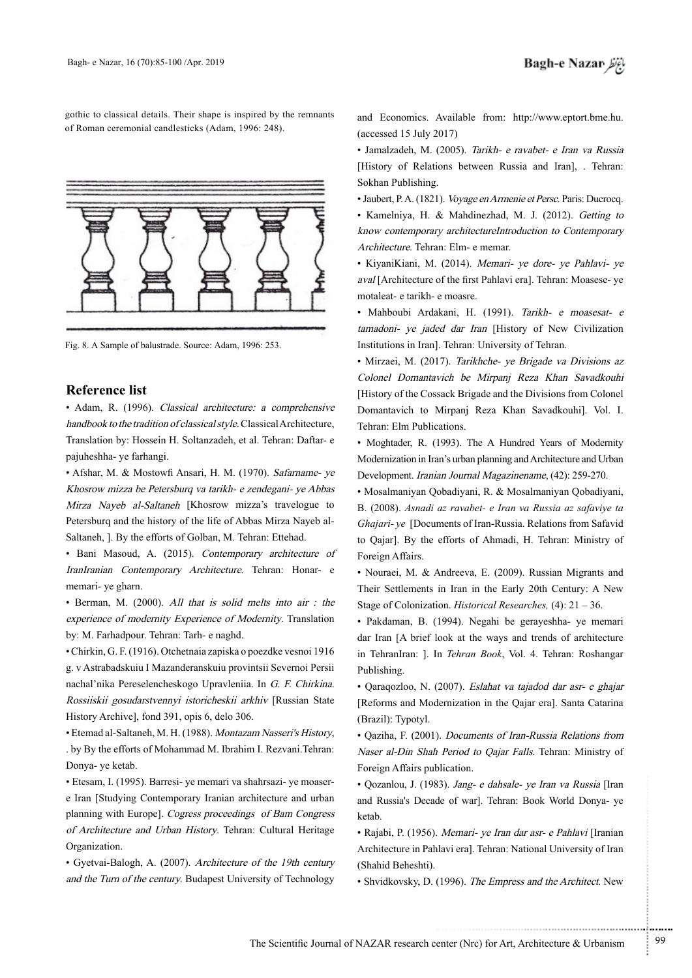gothic to classical details. Their shape is inspired by the remnants of Roman ceremonial candlesticks (Adam, 1996: 248).



Fig. 8. A Sample of balustrade. Source: Adam, 1996: 253.

#### **Reference** list

• Adam, R. (1996). Classical architecture: a comprehensive handbook to the tradition of classical style. Classical Architecture, Translation by: Hossein H. Soltanzadeh. et al. Tehran: Daftar- e pajuheshha- ye farhangi.

• Afshar, M. & Mostowfi Ansari, H. M. (1970). Safarname- ye Khosrow mizza be Petersburq va tarikh- e zendegani- ye Abbas Mirza Naveb al-Saltaneh [Khosrow mizza's travelogue to Saltaneh, ]. By the efforts of Golban, M. Tehran: Ettehad. Petersburg and the history of the life of Abbas Mirza Nayeb al-

• Bani Masoud, A. (2015). Contemporary architecture of IranIranian Contemporary Architecture. Tehran: Honar- e memari- ye gharn.

 $\bullet$  Berman, M. (2000). All that is solid melts into air : the experience of modernity Experience of Modernity. Translation by: M. Farhadpour. Tehran: Tarh- e naghd.

• Chirkin, G. F. (1916). Otchetnaia zapiska o poezdke vesnoi 1916 g. v Astrabadskuiu I Mazanderanskuiu provintsii Severnoi Persii nachal'nika Pereselencheskogo Upravleniia. In G. F. Chirkina. Rossiiskii gosudarstvennyi istoricheskii arkhiv [Russian State History Archive], fond 391, opis 6, delo 306.

• Etemad al-Saltaneh, M. H. (1988). Montazam Nasseri's History, . by By the efforts of Mohammad M. Ibrahim I. Rezvani. Tehran: Donya- ye ketab.

e Iran [Studying Contemporary Iranian architecture and urban • Etesam, I. (1995). Barresi- ye memari va shahrsazi- ye moaserplanning with Europe]. Cogress proceedings of Bam Congress of Architecture and Urban History. Tehran: Cultural Heritage .Organization

• Gyetvai-Balogh, A. (2007). Architecture of the 19th century and the Turn of the century. Budapest University of Technology

and Economics. Available from: http://www.eptort.bme.hu.  $(accessed 15 July 2017)$ 

• Jamalzadeh, M. (2005). Tarikh- e ravabet- e Iran va Russia [History of Relations between Russia and Iran], . Tehran: Sokhan Publishing.

• Jaubert, P. A. (1821). *Voyage en Armenie et Persc*. Paris: Ducrocq. • Kamelniya, H. & Mahdinezhad, M. J. (2012). Getting to know contemporary architectureIntroduction to Contemporary Architecture. Tehran: Elm- e memar.

• KiyaniKiani, M. (2014). Memari- ye dore- ye Pahlavi- ye aval [Architecture of the first Pahlavi era]. Tehran: Moasese-ve motaleat- e tarikh- e moasre.

• Mahboubi Ardakani, H. (1991). Tarikh- e moasesat- e tamadoni- ye jaded dar Iran [History of New Civilization Institutions in Iran]. Tehran: University of Tehran.

• Mirzaei, M. (2017). Tarikhche- ye Brigade va Divisions az Colonel Domantavich be Mirpanj Reza Khan Savadkouhi [History of the Cossack Brigade and the Divisions from Colonel] Domantavich to Mirpanj Reza Khan Savadkouhi]. Vol. I. Tehran: Elm Publications.

• Moghtader, R. (1993). The A Hundred Years of Modernity Modernization in Iran's urban planning and Architecture and Urban Development. Iranian Journal Magazinename, (42): 259-270.

• Mosalmaniyan Qobadiyani, R. & Mosalmaniyan Qobadiyani, B. (2008). Asnadi az ravabet- e Iran va Russia az safaviye ta Ghajari-ye [Documents of Iran-Russia. Relations from Safavid to Qajar]. By the efforts of Ahmadi, H. Tehran: Ministry of Foreign Affairs.

• Nouraei, M. & Andreeva, E. (2009). Russian Migrants and Their Settlements in Iran in the Early 20th Century: A New Stage of Colonization. *Historical Researches*, (4): 21 – 36.

· Pakdaman, B. (1994). Negahi be gerayeshha- ye memari dar Iran [A brief look at the ways and trends of architecture in TehranIran: ]. In Tehran Book, Vol. 4. Tehran: Roshangar .Publishing

• Qaraqozloo, N. (2007). Eslahat va tajadod dar asr- e ghajar [Reforms and Modernization in the Qajar era]. Santa Catarina (Brazil): Typotyl.

• Qaziha, F. (2001). *Documents of Iran-Russia Relations from* Naser al-Din Shah Period to Qajar Falls. Tehran: Ministry of Foreign Affairs publication.

• Qozanlou, J. (1983). Jang- e dahsale- ye Iran va Russia [Iran and Russia's Decade of war]. Tehran: Book World Donya- ye ketab.

• Rajabi, P. (1956). Memari- ye Iran dar asr- e Pahlavi [Iranian] Architecture in Pahlavi era]. Tehran: National University of Iran (Shahid Beheshti).

• Shvidkovsky, D. (1996). The Empress and the Architect. New

.......... ....... ........ ........... ...... ....... ........ .......... ...........